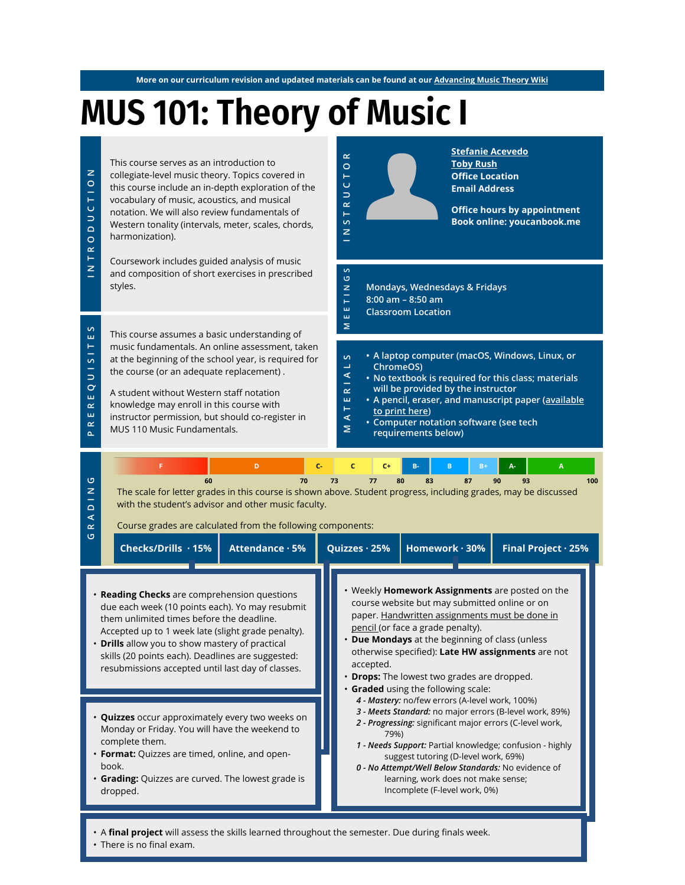**More on our curriculum revision and updated materials can be found at our [Advancing Music Theory Wiki](https://tobyrush.com/theorywiki/index.php?title=Main_Page)**

# **MUS 101: Theory of Music I**



- A **final project** will assess the skills learned throughout the semester. Due during finals week.
- There is no final exam.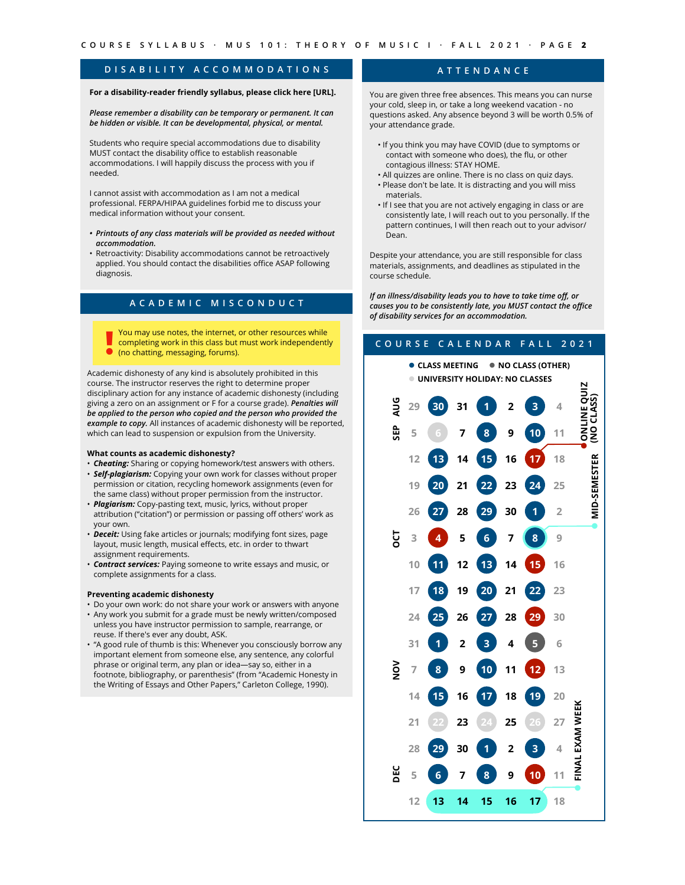## **DISABILITY ACCOMMODATIONS**

## **For a disability-reader friendly syllabus, please click here [URL].**

*Please remember a disability can be temporary or permanent. It can be hidden or visible. It can be developmental, physical, or mental.*

Students who require special accommodations due to disability MUST contact the disability office to establish reasonable accommodations. I will happily discuss the process with you if needed.

I cannot assist with accommodation as I am not a medical professional. FERPA/HIPAA guidelines forbid me to discuss your medical information without your consent.

- *• Printouts of any class materials will be provided as needed without accommodation.*
- Retroactivity: Disability accommodations cannot be retroactively applied. You should contact the disabilities office ASAP following diagnosis.

## **ACADEMIC MISCONDUCT**

You may use notes, the internet, or other resources while **Completing work in this class but must work independently O** (no chatting, messaging, forums).

Academic dishonesty of any kind is absolutely prohibited in this course. The instructor reserves the right to determine proper disciplinary action for any instance of academic dishonesty (including giving a zero on an assignment or F for a course grade). *Penalties will be applied to the person who copied and the person who provided the example to copy.* All instances of academic dishonesty will be reported, which can lead to suspension or expulsion from the University.

#### **What counts as academic dishonesty?**

- *Cheating:* Sharing or copying homework/test answers with others.
- *Self-plagiarism:* Copying your own work for classes without proper permission or citation, recycling homework assignments (even for the same class) without proper permission from the instructor.
- *Plagiarism:* Copy-pasting text, music, lyrics, without proper attribution ("citation") or permission or passing off others' work as your own.
- *Deceit:* Using fake articles or journals; modifying font sizes, page layout, music length, musical effects, etc. in order to thwart assignment requirements.
- *Contract services:* Paying someone to write essays and music, or complete assignments for a class.

### **Preventing academic dishonesty**

- Do your own work: do not share your work or answers with anyone • Any work you submit for a grade must be newly written/composed
- unless you have instructor permission to sample, rearrange, or reuse. If there's ever any doubt, ASK.
- "A good rule of thumb is this: Whenever you consciously borrow any important element from someone else, any sentence, any colorful phrase or original term, any plan or idea—say so, either in a footnote, bibliography, or parenthesis" (from "Academic Honesty in the Writing of Essays and Other Papers," Carleton College, 1990).

## **ATTENDANCE**

You are given three free absences. This means you can nurse your cold, sleep in, or take a long weekend vacation - no questions asked. Any absence beyond 3 will be worth 0.5% of your attendance grade.

- If you think you may have COVID (due to symptoms or contact with someone who does), the flu, or other contagious illness: STAY HOME.
- All quizzes are online. There is no class on quiz days. • Please don't be late. It is distracting and you will miss materials.
- If I see that you are not actively engaging in class or are consistently late, I will reach out to you personally. If the pattern continues, I will then reach out to your advisor/ Dean.

Despite your attendance, you are still responsible for class materials, assignments, and deadlines as stipulated in the course schedule.

*If an illness/disability leads you to have to take time off, or causes you to be consistently late, you MUST contact the office of disability services for an accommodation.*

## **COURSE CALENDAR FALL 2021** ⚫︎ **CLASS MEETING** ⚫︎ **NO CLASS (OTHER)** ⚫︎ **UNIVERSITY HOLIDAY: NO CLASSES** ONLINE QUIZ<br>(NO CLASS) ⚫︎**ONLINE QUIZ (NO CLASS)AUG 29 30 31 1 2 3 4 SEP 5 6 7 8 9 10 11 D-SEMESTER** ⚫︎ **MID-SEMESTER 12 13 14 15 16 17 18 19 20 21 22 23 24 25 26 27 28 29 30 1 2**  $\bar{z}$ <u>ទ្</u> **3 4 5 6 7 8 9 10 11 12 13 14 15 16 17 18 19 20 21 22 23 24 25 26 27 28 29 30 31 1 2 3 4 5 6**  $\tilde{9}$ **7 8 9 10 11 12 13 14 15 16 17 18 19 20** EXAM WEEK ⚫︎ **FINAL EXAM WEEK 21 22 23 24 25 26 27 28 29 30 1 2 3 4** FINAL **DEC 5 6 7 8 9 10 11 12 13 14 15 16 17 18**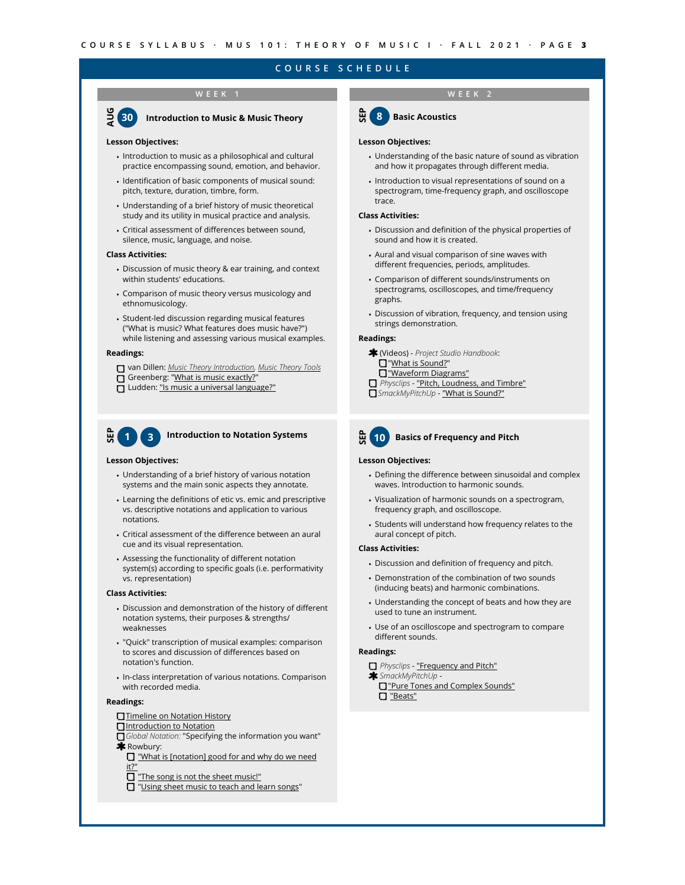## **COURSE SCHEDULE**

## **WEEK 1 WEEK 2**



#### **Lesson Objectives:**

- Introduction to music as a philosophical and cultural practice encompassing sound, emotion, and behavior.
- Identification of basic components of musical sound: pitch, texture, duration, timbre, form.
- Understanding of a brief history of music theoretical study and its utility in musical practice and analysis.
- Critical assessment of differences between sound, silence, music, language, and noise.

#### **Class Activities:**

- Discussion of music theory & ear training, and context within students' educations.
- Comparison of music theory versus musicology and ethnomusicology.
- Student-led discussion regarding musical features ("What is music? What features does music have?") while listening and assessing various musical examples.

#### **Readings:**

- van Dillen: *[Music Theory Introduction](https://www.oscarvandillen.com/outline_of_basic_music_theory/introduction/), [Music Theory Tools](https://www.oscarvandillen.com/tools_for_students/music_theory/)*
- Greenberg: "[What is music exactly?](https://www.psychologytoday.com/us/blog/the-power-music/201608/what-is-music-exactly)"
- **In Ludden:** ["Is music a universal language?"](https://www.psychologytoday.com/us/blog/talking-apes/201507/is-music-universal-language)



## **1 Introduction to Notation Systems 3**

#### **Lesson Objectives:**

- Understanding of a brief history of various notation systems and the main sonic aspects they annotate.
- Learning the definitions of etic vs. emic and prescriptive vs. descriptive notations and application to various notations.
- Critical assessment of the difference between an aural cue and its visual representation.
- Assessing the functionality of different notation system(s) according to specific goals (i.e. performativity vs. representation)

#### **Class Activities:**

- Discussion and demonstration of the history of different notation systems, their purposes & strengths/ weaknesses
- "Quick" transcription of musical examples: comparison to scores and discussion of differences based on notation's function.
- In-class interpretation of various notations. Comparison with recorded media.

#### **Readings:**

- **[Timeline on Notation History](https://cdn.knightlab.com/libs/timeline3/latest/embed/index.html?source=147ISfhqVra6YNHgvbaLZqy3qxkTt37ApIk7Ncejr998&font=Default&lang=en&initial_zoom=4&height=800)**
- $\Box$  [Introduction to Notation](https://drive.google.com/file/d/1xiJW3SydLPb6Xh2IN38TWXNwKnb87itx/view?usp=sharing)
- *Global Notation:* "Specifying the information you want" **\*** Rowbury:
	- **I** "What is [notation] good for and why do we need [it?"](https://blog.chrisrowbury.com/2011/02/music-notation-what-is-it-good-for-and.html)
	- The song is not the sheet music!"
	- **T** ["Using sheet music to teach and learn songs](https://blog.chrisrowbury.com/2011/02/using-sheet-music-to-teach-and-learn.html)"



#### **Lesson Objectives:**

- Understanding of the basic nature of sound as vibration and how it propagates through different media.
- Introduction to visual representations of sound on a spectrogram, time-frequency graph, and oscilloscope trace.

#### **Class Activities:**

- Discussion and definition of the physical properties of sound and how it is created.
- Aural and visual comparison of sine waves with different frequencies, periods, amplitudes.
- Comparison of different sounds/instruments on spectrograms, oscilloscopes, and time/frequency graphs.
- Discussion of vibration, frequency, and tension using strings demonstration.

#### **Readings:**

- (Videos) *Project Studio Handbook*: "[What is Sound?"](http://www.projectstudiohandbook.com/videos/playlists/sound-wave-theory/what-is-sound/what-is-sound-video.html)
	- **D** ["Waveform Diagrams"](http://www.projectstudiohandbook.com/videos/playlists/sound-wave-theory/amplitude-and-frequency-examples/amplitude-and-frequency-examples-video.html)
- *Physclips* ["Pitch, Loudness, and Timbre"](https://www.animations.physics.unsw.edu.au/jw/sound-pitch-loudness-timbre.htm)
- *SmackMyPitchUp* ["What is Sound?"](http://www.smackmypitchup.com/smpu/?sec=content&id=72&topid=123)
- **SEP 10 Basics of Frequency and Pitch**

#### **Lesson Objectives:**

- Defining the difference between sinusoidal and complex waves. Introduction to harmonic sounds.
- Visualization of harmonic sounds on a spectrogram, frequency graph, and oscilloscope.
- Students will understand how frequency relates to the aural concept of pitch.

#### **Class Activities:**

- Discussion and definition of frequency and pitch.
- Demonstration of the combination of two sounds (inducing beats) and harmonic combinations.
- Understanding the concept of beats and how they are used to tune an instrument.
- Use of an oscilloscope and spectrogram to compare different sounds.

#### **Readings:**

#### *Physclips* - ["Frequency and Pitch"](http://www.smackmypitchup.com/smpu/?sec=content&id=73&topid=123)

- *SmackMyPitchUp* -
- **T** ["Pure Tones and Complex Sounds"](http://www.smackmypitchup.com/smpu/?sec=content&id=78&topid=123) ["Beats"](http://www.smackmypitchup.com/smpu/?sec=content&id=88&topid=123)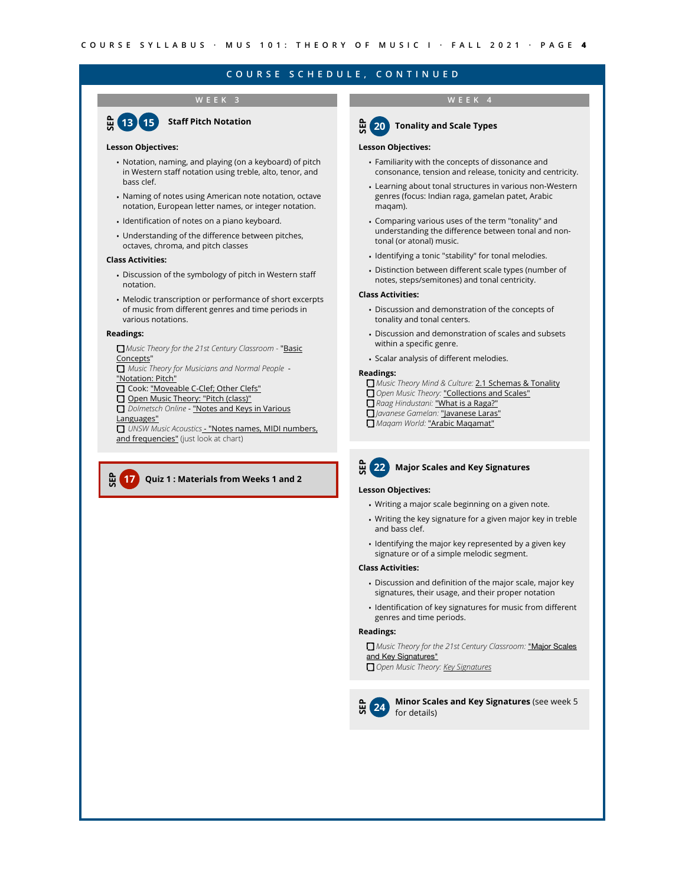#### **WEEK 3 WEEK 4**



### **Lesson Objectives:**

- Notation, naming, and playing (on a keyboard) of pitch in Western staff notation using treble, alto, tenor, and bass clef.
- Naming of notes using American note notation, octave notation, European letter names, or integer notation.
- Identification of notes on a piano keyboard.
- Understanding of the difference between pitches, octaves, chroma, and pitch classes

#### **Class Activities:**

- Discussion of the symbology of pitch in Western staff notation.
- Melodic transcription or performance of short excerpts of music from different genres and time periods in various notations.

#### **Readings:**

- *Music Theory for the 21st Century Classroom* "[Basic](http://musictheory.pugetsound.edu/mt21c/BasicConcepts.html)  [Concepts](http://musictheory.pugetsound.edu/mt21c/BasicConcepts.html)"
- *Music Theory for Musicians and Normal People* ["Notation: Pitch"](http://tobyrush.com/theorypages/pdf/en-us/notation-pitch.pdf)
- Cook: ["Moveable C-Clef; Other Clefs"](https://2012books.lardbucket.org/books/music-theory/s07-06-moveable-c-clef-other-clefs.html)
- Open Music Theory: "Pitch (class)"

*Dolmetsch Online* - ["Notes and Keys in Various](https://www.dolmetsch.com/musictheory9.htm#notesandkeys)  [Languages"](https://www.dolmetsch.com/musictheory9.htm#notesandkeys)

 *UNSW Music Acoustics* [- "Notes names, MIDI numbers,](https://newt.phys.unsw.edu.au/jw/notes.html)  [and frequencies"](https://newt.phys.unsw.edu.au/jw/notes.html) (just look at chart)

#### **SEP 17 Quiz 1 : Materials from Weeks 1 and 2**



## **20 Tonality and Scale Types**

#### **Lesson Objectives:**

- Familiarity with the concepts of dissonance and consonance, tension and release, tonicity and centricity.
- Learning about tonal structures in various non-Western genres (focus: Indian raga, gamelan patet, Arabic maqam).
- Comparing various uses of the term "tonality" and understanding the difference between tonal and nontonal (or atonal) music.
- Identifying a tonic "stability" for tonal melodies.
- Distinction between different scale types (number of notes, steps/semitones) and tonal centricity.

#### **Class Activities:**

- Discussion and demonstration of the concepts of tonality and tonal centers.
- Discussion and demonstration of scales and subsets within a specific genre.
- Scalar analysis of different melodies.

#### **Readings:**

- *Music Theory Mind & Culture:* [2.1 Schemas & Tonality](https://drive.google.com/file/d/1oQkC3CyiMRKX_x4AIFfUiGFUxNJvPeHX/view?usp=sharing)
- *Open Music Theory:* ["Collections and Scales"](http://openmusictheory.com/scales2.html)
- *Raag Hindustani:* ["What is a Raga?"](https://raag-hindustani.com/Scales1.html)
- *Javanese Gamelan:* ["Javanese Laras"](http://jbjordan.com/gamelan/scales.html)
- *Maqam World:* ["Arabic Maqamat"](http://maqamworld.com/en/maqam.php)



#### **Lesson Objectives:**

- Writing a major scale beginning on a given note.
- Writing the key signature for a given major key in treble and bass clef.
- Identifying the major key represented by a given key signature or of a simple melodic segment.

#### **Class Activities:**

- Discussion and definition of the major scale, major key signatures, their usage, and their proper notation
- Identification of key signatures for music from different genres and time periods.

## **Readings:**

*Music Theory for the 21st Century Classroom:* ["Major Scales](http://musictheory.pugetsound.edu/mt21c/MajorScalesAndKeySignatures.html)  [and Key Signatures"](http://musictheory.pugetsound.edu/mt21c/MajorScalesAndKeySignatures.html)

*Open Music Theory: [Key Signatures](http://openmusictheory.com/keySignatures.html)*

 $\frac{6}{10}$  (24) **<sup>24</sup> Minor Scales and Key Signatures** (see week 5 for details)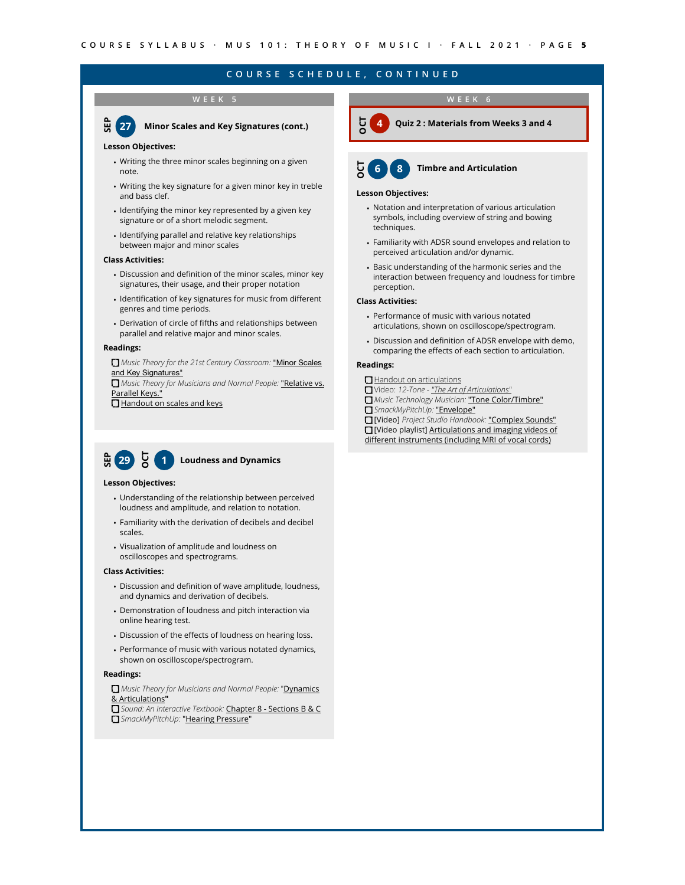### **WEEK 5**

**贾(27 27 Minor Scales and Key Signatures (cont.)**

#### **Lesson Objectives:**

- Writing the three minor scales beginning on a given note.
- Writing the key signature for a given minor key in treble and bass clef.
- Identifying the minor key represented by a given key signature or of a short melodic segment.
- Identifying parallel and relative key relationships between major and minor scales

#### **Class Activities:**

- Discussion and definition of the minor scales, minor key signatures, their usage, and their proper notation
- Identification of key signatures for music from different genres and time periods.
- Derivation of circle of fifths and relationships between parallel and relative major and minor scales.

#### **Readings:**

*Music Theory for the 21st Century Classroom:* ["Minor Scales](http://musictheory.pugetsound.edu/mt21c/MinorScalesAndKeySignatures.html)  [and Key Signatures"](http://musictheory.pugetsound.edu/mt21c/MinorScalesAndKeySignatures.html)

**I** Music Theory for Musicians and Normal People: "Relative vs. [Parallel Keys."](https://tobyrush.com/theorypages/pdf/en-us/relative-and-parallel-keys.pdf)

**[Handout on scales and keys](https://drive.google.com/file/d/1ypn0fupwGJgd3qh6E7tbKu3kzfzKstJ_/view)** 

## E 29 등 **1 Loudness and Dynamics**

#### **Lesson Objectives:**

- Understanding of the relationship between perceived loudness and amplitude, and relation to notation.
- Familiarity with the derivation of decibels and decibel scales.
- Visualization of amplitude and loudness on oscilloscopes and spectrograms.

#### **Class Activities:**

- Discussion and definition of wave amplitude, loudness, and dynamics and derivation of decibels.
- Demonstration of loudness and pitch interaction via online hearing test.
- Discussion of the effects of loudness on hearing loss.
- Performance of music with various notated dynamics, shown on oscilloscope/spectrogram.

#### **Readings:**

*Music Theory for Musicians and Normal People:* "[Dynamics](http://tobyrush.com/theorypages/pdf/en-us/dynamics-and-articulations.pdf)  [& Articulations](http://tobyrush.com/theorypages/pdf/en-us/dynamics-and-articulations.pdf)**"**

*Sound: An Interactive Textbook:* Chapter 8 - [Sections B & C](https://www.compadre.org/osp/items/detail.cfm?ID=12399&EJSSM=270) *SmackMyPitchUp:* ["Hearing Pressure](http://www.smackmypitchup.com/smpu/index.php?sec=content&id=83&topid=123)"

## **WEEK 6**



**4 Quiz 2 : Materials from Weeks 3 and 4**



#### **Lesson Objectives:**

- Notation and interpretation of various articulation symbols, including overview of string and bowing techniques.
- Familiarity with ADSR sound envelopes and relation to perceived articulation and/or dynamic.
- Basic understanding of the harmonic series and the interaction between frequency and loudness for timbre perception.

#### **Class Activities:**

- Performance of music with various notated articulations, shown on oscilloscope/spectrogram.
- Discussion and definition of ADSR envelope with demo, comparing the effects of each section to articulation.

#### **Readings:**

- **[Handout on articulations](https://drive.google.com/file/d/10qNFv1omBi_NYp9vaKQJNDkChFV6MHCJ/view?usp=sharing)**
- Video: *12-Tone ["The Art of Articulations"](https://www.youtube.com/watch?v=pzK1uUUD9rc)*
- *Music Technology Musician:* ["Tone Color/Timbre"](http://musictechmusician.weebly.com/timbre.html)
- *SmackMyPitchUp:* ["Envelope"](http://www.smackmypitchup.com/smpu/?sec=content&id=80&topid=123)
- [Video] *Project Studio Handbook:* ["Complex Sounds"](http://www.projectstudiohandbook.com/videos/playlists/sound-wave-theory/complex-sounds/complex-sounds-script.html)
- [\[Video playlist\] Articulations and imaging videos of](https://www.youtube.com/playlist?list=PLpM0dGwm-tSN6JisvzmbXxB4xnfh-Nnwv)
- diff[erent instruments \(including MRI of vocal cords\)](https://www.youtube.com/playlist?list=PLpM0dGwm-tSN6JisvzmbXxB4xnfh-Nnwv)
-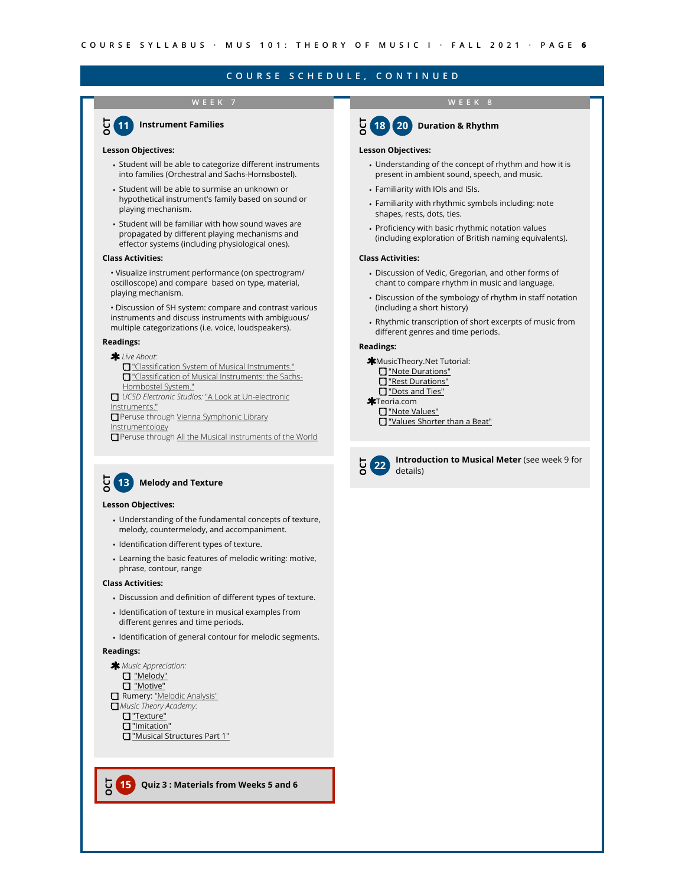## **WEEK 7**



#### **Lesson Objectives:**

- Student will be able to categorize different instruments into families (Orchestral and Sachs-Hornsbostel).
- Student will be able to surmise an unknown or hypothetical instrument's family based on sound or playing mechanism.
- Student will be familiar with how sound waves are propagated by different playing mechanisms and effector systems (including physiological ones).

#### **Class Activities:**

- Visualize instrument performance (on spectrogram/ oscilloscope) and compare based on type, material, playing mechanism.
- Discussion of SH system: compare and contrast various instruments and discuss instruments with ambiguous/ multiple categorizations (i.e. voice, loudspeakers).

#### **Readings:**

#### *Live About:*

- "Classifi[cation System of Musical Instruments."](https://www.liveabout.com/musical-instrument-library-2456708) **T** "Classifi[cation of Musical Instruments: the Sachs-](https://www.liveabout.com/classification-of-musical-instruments-2456710)[Hornbostel System."](https://www.liveabout.com/classification-of-musical-instruments-2456710)
- *UCSD Electronic Studios:* ["A Look at Un-electronic](http://artsites.ucsc.edu/EMS/music/tech_background/TE-13/teces_13.html)  [Instruments."](http://artsites.ucsc.edu/EMS/music/tech_background/TE-13/teces_13.html)
- Peruse through Vienna Symphonic Library **[Instrumentology](https://www.vsl.co.at/en/Academy/Instrumentology)**
- Peruse through [All the Musical Instruments of the World](https://www.vsl.co.at/en/Academy/Instrumentology)



#### **Lesson Objectives:**

- Understanding of the fundamental concepts of texture, melody, countermelody, and accompaniment.
- Identification different types of texture.
- Learning the basic features of melodic writing: motive, phrase, contour, range

#### **Class Activities:**

- Discussion and definition of different types of texture.
- Identification of texture in musical examples from different genres and time periods.
- Identification of general contour for melodic segments.

#### **Readings:**

**OCT**



["Musical Structures Part 1"](https://www.musictheoryacademy.com/understanding-music/musical-structures/)

**15 Quiz 3 : Materials from Weeks 5 and 6**

# **OCT**

**WEEK 8**



#### **Lesson Objectives:**

- Understanding of the concept of rhythm and how it is present in ambient sound, speech, and music.
- Familiarity with IOIs and ISIs.
- Familiarity with rhythmic symbols including: note shapes, rests, dots, ties.
- Proficiency with basic rhythmic notation values (including exploration of British naming equivalents).

#### **Class Activities:**

- Discussion of Vedic, Gregorian, and other forms of chant to compare rhythm in music and language.
- Discussion of the symbology of rhythm in staff notation (including a short history)
- Rhythmic transcription of short excerpts of music from different genres and time periods.

#### **Readings:**

- **\*MusicTheory.Net Tutorial:**
- ["Note Durations"](http://www.apple.com)
- ["Rest Durations"](https://www.musictheory.net/lessons/13)
- ["Dots and Ties"](https://www.musictheory.net/lessons/14)
- **\*Teoria.com**
- ["Note Values"](https://www.teoria.com/en/tutorials/reading/03-values.php)
- ["Values Shorter than a Beat"](https://www.teoria.com/en/tutorials/reading/06-figures.php)



**22 Introduction to Musical Meter** (see week 9 for details)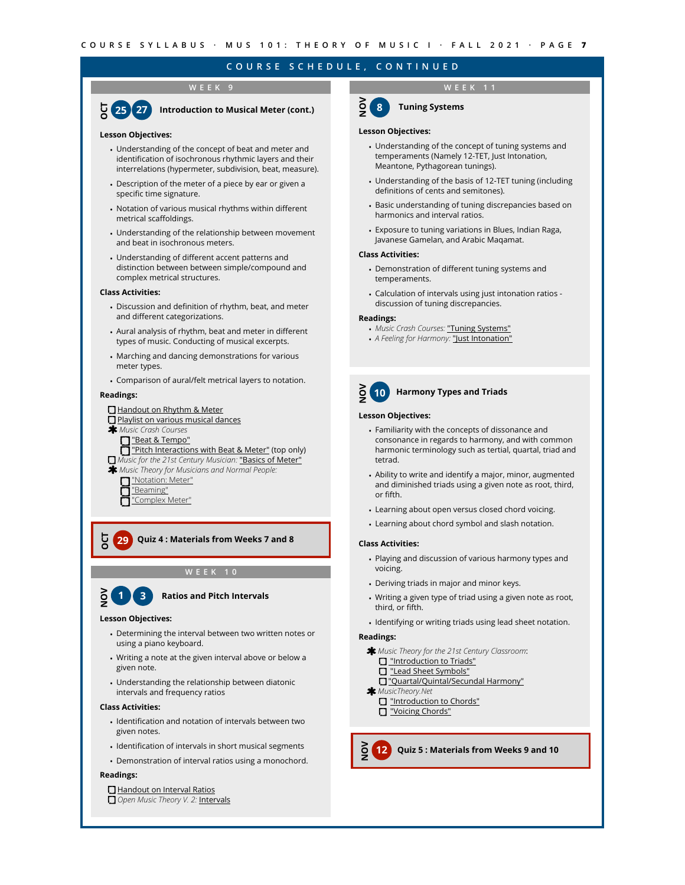# **WEEK 9**



## **Lesson Objectives:**

- Understanding of the concept of beat and meter and identification of isochronous rhythmic layers and their interrelations (hypermeter, subdivision, beat, measure).
- Description of the meter of a piece by ear or given a specific time signature.
- Notation of various musical rhythms within different metrical scaffoldings.
- Understanding of the relationship between movement and beat in isochronous meters.
- Understanding of different accent patterns and distinction between between simple/compound and complex metrical structures.

#### **Class Activities:**

- Discussion and definition of rhythm, beat, and meter and different categorizations.
- Aural analysis of rhythm, beat and meter in different types of music. Conducting of musical excerpts.
- Marching and dancing demonstrations for various meter types.
- Comparison of aural/felt metrical layers to notation.

#### **Readings:**

## [Handout on Rhythm & Meter](https://drive.google.com/file/d/1ghX1iqlJlh871hpFnUP6p2yCz9LMKqDm/view?usp=sharing)

- [Playlist on various musical dances](https://www.youtube.com/watch?v=AebnR6eRMQo&list=PLpM0dGwm-tSPcMyZsnzEzwo3LeaguSdg_)
- *Music Crash Courses*
- ["Beat & Tempo"](https://musiccrashcourses.com/lessons/beat.html)
- **T** ["Pitch Interactions with Beat & Meter"](https://musiccrashcourses.com/lessons/pitch_meter_interaction.html) (top only)
- *Music for the 21st Century Musician:* ["Basics of Meter"](http://musictheory.pugetsound.edu/mt21c/meter.html)
- *Music Theory for Musicians and Normal People:*

["Notation: Meter"](https://tobyrush.com/theorypages/pdf/en-us/notation-meter.pdf) ["Beaming"](https://tobyrush.com/theorypages/png/en-us/beaming.png)

["Complex Meter"](https://tobyrush.com/theorypages/png/en-us/complex-meter.png)

**29 Quiz 4 : Materials from Weeks 7 and 8**

**WEEK 10**



**OCT**

## **1 Ratios and Pitch Intervals**

#### **Lesson Objectives:**

- Determining the interval between two written notes or using a piano keyboard.
- Writing a note at the given interval above or below a given note.
- Understanding the relationship between diatonic intervals and frequency ratios

#### **Class Activities:**

- Identification and notation of intervals between two given notes.
- Identification of intervals in short musical segments
- Demonstration of interval ratios using a monochord.

#### **Readings:**

#### [Handout on Interval Ratios](https://drive.google.com/file/d/1YX8hD26kSaUAQXP4VbYRuwUqggBNoisd/view?usp=sharing)

**Open Music Theory V. 2: [Intervals](https://viva.pressbooks.pub/openmusictheory/chapter/intervals-and-dyads/)** 

## **WEEK 11**



## **Lesson Objectives:**

- Understanding of the concept of tuning systems and temperaments (Namely 12-TET, Just Intonation, Meantone, Pythagorean tunings).
- Understanding of the basis of 12-TET tuning (including definitions of cents and semitones).
- Basic understanding of tuning discrepancies based on harmonics and interval ratios.
- Exposure to tuning variations in Blues, Indian Raga, Javanese Gamelan, and Arabic Maqamat.

#### **Class Activities:**

- Demonstration of different tuning systems and temperaments.
- Calculation of intervals using just intonation ratios discussion of tuning discrepancies.

#### **Readings:**

- *Music Crash Courses:* ["Tuning Systems"](https://musiccrashcourses.com/lessons/tuning_systems.html)
- *A Feeling for Harmony:* ["Just Intonation"](http://legacy.earlham.edu/~tobeyfo/musictheory/Book1/FFH1_CH2/2E_JustIntonation.html)



## **10 Harmony Types and Triads**

#### **Lesson Objectives:**

- Familiarity with the concepts of dissonance and consonance in regards to harmony, and with common harmonic terminology such as tertial, quartal, triad and tetrad.
- Ability to write and identify a major, minor, augmented and diminished triads using a given note as root, third, or fifth.
- Learning about open versus closed chord voicing.
- Learning about chord symbol and slash notation.

#### **Class Activities:**

- Playing and discussion of various harmony types and voicing.
- Deriving triads in major and minor keys.
- Writing a given type of triad using a given note as root, third, or fifth.
- Identifying or writing triads using lead sheet notation.

#### **Readings:**

**NOV**

*Music Theory for the 21st Century Classroom*:

- **D** ["Introduction to Triads"](http://musictheory.pugetsound.edu/mt21c/TriadsIntroduction.html)
- **D** ["Lead Sheet Symbols"](http://musictheory.pugetsound.edu/mt21c/LeadSheetSymbols.html)
- ["Quartal/Quintal/Secundal Harmony"](http://musictheory.pugetsound.edu/mt21c/QuintalHarmony.html)
- *MusicTheory.Net*
	- **D** ["Introduction to Chords"](https://www.musictheory.net/lessons/40) **D** ["Voicing Chords"](https://www.musictheory.net/lessons/51)
	-

**12 Quiz 5 : Materials from Weeks 9 and 10**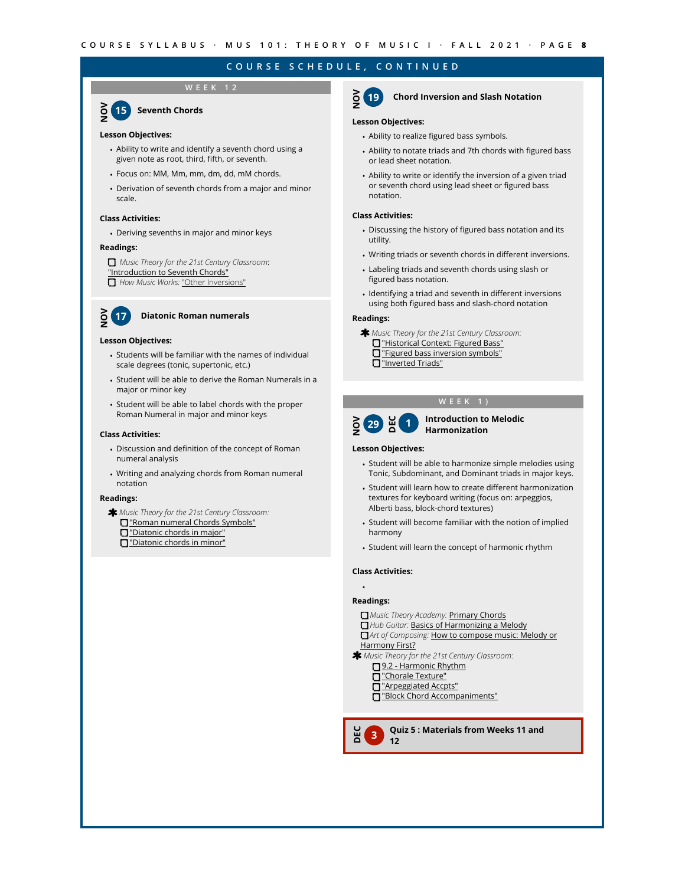## **WEEK 12**

**NOV <sup>15</sup> Seventh Chords**

#### **Lesson Objectives:**

- Ability to write and identify a seventh chord using a given note as root, third, fifth, or seventh.
- Focus on: MM, Mm, mm, dm, dd, mM chords.
- Derivation of seventh chords from a major and minor scale.

#### **Class Activities:**

• Deriving sevenths in major and minor keys

#### **Readings:**

*Music Theory for the 21st Century Classroom*: ["Introduction to Seventh Chords"](http://musictheory.pugetsound.edu/mt21c/SeventhChordsIntroduction.html)  *How Music Works:* ["Other Inversions"](https://www.howmusicworks.org/704/Playing-with-Chords/Other-Inversions)

## **NOV <sup>17</sup> Diatonic Roman numerals**

#### **Lesson Objectives:**

- Students will be familiar with the names of individual scale degrees (tonic, supertonic, etc.)
- Student will be able to derive the Roman Numerals in a major or minor key
- Student will be able to label chords with the proper Roman Numeral in major and minor keys

#### **Class Activities:**

- Discussion and definition of the concept of Roman numeral analysis
- Writing and analyzing chords from Roman numeral notation

#### **Readings:**

*Music Theory for the 21st Century Classroom:* ["Roman numeral Chords Symbols"](http://musictheory.pugetsound.edu/mt21c/RomanNumeralChordSymbols.html) ["Diatonic chords in major"](http://musictheory.pugetsound.edu/mt21c/DiatonicChordsInMajor.html) ["Diatonic chords in minor"](http://musictheory.pugetsound.edu/mt21c/DiatonicChordsInMinor.html)

## **NOV <sup>19</sup> Chord Inversion and Slash Notation**

#### **Lesson Objectives:**

- Ability to realize figured bass symbols.
- Ability to notate triads and 7th chords with figured bass or lead sheet notation.
- Ability to write or identify the inversion of a given triad or seventh chord using lead sheet or figured bass notation.

#### **Class Activities:**

- Discussing the history of figured bass notation and its utility.
- Writing triads or seventh chords in different inversions.
- Labeling triads and seventh chords using slash or figured bass notation.
- Identifying a triad and seventh in different inversions using both figured bass and slash-chord notation

#### **Readings:**

*Music Theory for the 21st Century Classroom:* ["Historical Context: Figured Bass"](http://musictheory.pugetsound.edu/mt21c/FiguredBassHistoricalContext.html) ["Figured bass inversion symbols"](http://musictheory.pugetsound.edu/mt21c/FiguredBassInversionSymbols.html) **D**["Inverted Triads"](http://musictheory.pugetsound.edu/mt21c/InvertedTriads.html)

#### **WEEK 1)**



#### **NOV<sup>I</sup>O <b>Introduction to Melodic**<br> **1 Harmonization Harmonization**

#### **Lesson Objectives:**

- Student will be able to harmonize simple melodies using Tonic, Subdominant, and Dominant triads in major keys.
- Student will learn how to create different harmonization textures for keyboard writing (focus on: arpeggios, Alberti bass, block-chord textures)
- Student will become familiar with the notion of implied harmony
- Student will learn the concept of harmonic rhythm

#### **Class Activities:**

## • **Readings:**

**DEC**

- *Music Theory Academy:* [Primary Chords](https://www.musictheoryacademy.com/understanding-music/primary-chords/)
- *Hub Guitar:* [Basics of Harmonizing a Melody](https://hubguitar.com/music-theory/harmonizing-a-melody)
- *Art of Composing:* [How to compose music: Melody or](https://www.artofcomposing.com/how-to-compose-music-part-3-melody-or-harmony-first)
- [Harmony First?](https://www.artofcomposing.com/how-to-compose-music-part-3-melody-or-harmony-first)
- *Music Theory for the 21st Century Classroom:*
	- [9.2 Harmonic Rhythm](http://musictheory.pugetsound.edu/mt21c/HarmonicRhythm.html)
	- ["Chorale Texture"](http://musictheory.pugetsound.edu/mt21c/ChoraleTexture.html)
	- ["Arpeggiated Accpts"](http://musictheory.pugetsound.edu/mt21c/ArpeggiatedAccompaniments.html)
	- ["Block Chord Accompaniments"](http://musictheory.pugetsound.edu/mt21c/BlockChordAccompaniments.html)

**<sup>3</sup> Quiz 5 : Materials from Weeks 11 and 12**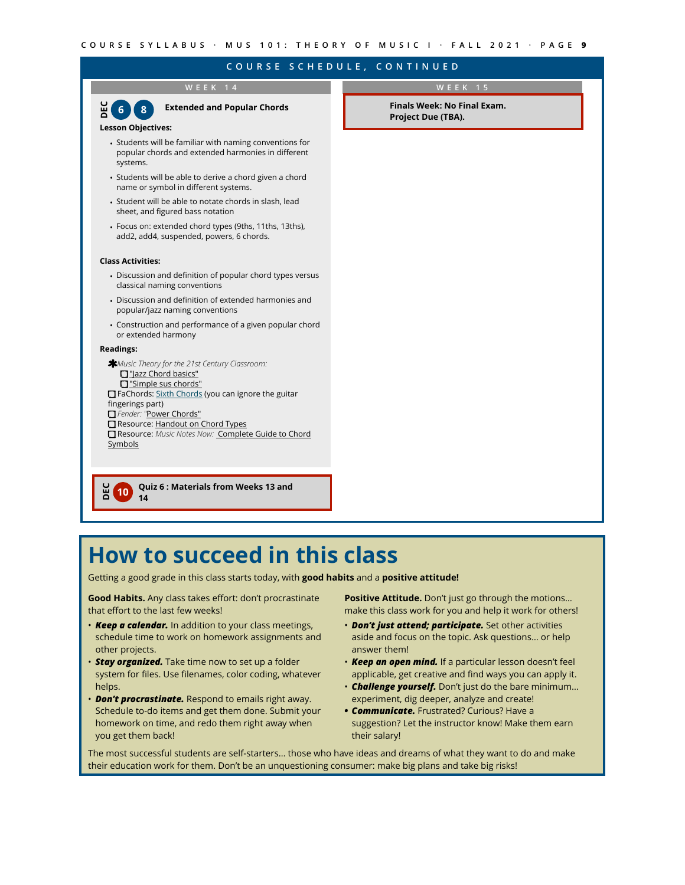**WEEK 14 Lesson Objectives:**  • Students will be familiar with naming conventions for popular chords and extended harmonies in different systems. • Students will be able to derive a chord given a chord name or symbol in different systems. • Student will be able to notate chords in slash, lead sheet, and figured bass notation • Focus on: extended chord types (9ths, 11ths, 13ths), add2, add4, suspended, powers, 6 chords. **Class Activities:** • Discussion and definition of popular chord types versus classical naming conventions • Discussion and definition of extended harmonies and popular/jazz naming conventions • Construction and performance of a given popular chord or extended harmony **Readings:** *Music Theory for the 21st Century Classroom:* T["Jazz Chord basics"](http://musictheory.pugetsound.edu/mt21c/JazzChordBasics.html) ["Simple sus chords"](http://musictheory.pugetsound.edu/mt21c/SimpleSusChords.html) FaChords: [Sixth Chords](https://www.fachords.com/sixth-guitar-chords/) (you can ignore the guitar fingerings part) *Fender: "*[Power Chords"](https://www.fender.com/articles/play/what-is-a-power-chord) Resource: [Handout on Chord Types](https://drive.google.com/file/d/1tGLoG1BeYiRKGyxW78jCPvWAKNCQecYf/view?usp=sharing) Resource: *Music Notes Now:* [Complete Guide to Chord](https://www.musicnotes.com/now/tips/a-complete-guide-to-chord-symbols-in-music/)  **[Symbols](https://www.musicnotes.com/now/tips/a-complete-guide-to-chord-symbols-in-music/) DEC 6 Extended and Popular Chords 8 DEC <sup>10</sup> Quiz 6 : Materials from Weeks 13 and 14 WEEK 15 Finals Week: No Final Exam. Project Due (TBA).**

# **How to succeed in this class**

Getting a good grade in this class starts today, with **good habits** and a **positive attitude!**

**Good Habits.** Any class takes effort: don't procrastinate that effort to the last few weeks!

- *Keep a calendar.* In addition to your class meetings, schedule time to work on homework assignments and other projects.
- **Stay organized.** Take time now to set up a folder system for files. Use filenames, color coding, whatever helps.
- *Don't procrastinate.* Respond to emails right away. Schedule to-do items and get them done. Submit your homework on time, and redo them right away when you get them back!

**Positive Attitude.** Don't just go through the motions… make this class work for you and help it work for others!

- *Don't just attend; participate.* Set other activities aside and focus on the topic. Ask questions… or help answer them!
- *Keep an open mind.* If a particular lesson doesn't feel applicable, get creative and find ways you can apply it.
- *Challenge yourself.* Don't just do the bare minimum… experiment, dig deeper, analyze and create!
- *• Communicate.* Frustrated? Curious? Have a suggestion? Let the instructor know! Make them earn their salary!

The most successful students are self-starters… those who have ideas and dreams of what they want to do and make their education work for them. Don't be an unquestioning consumer: make big plans and take big risks!